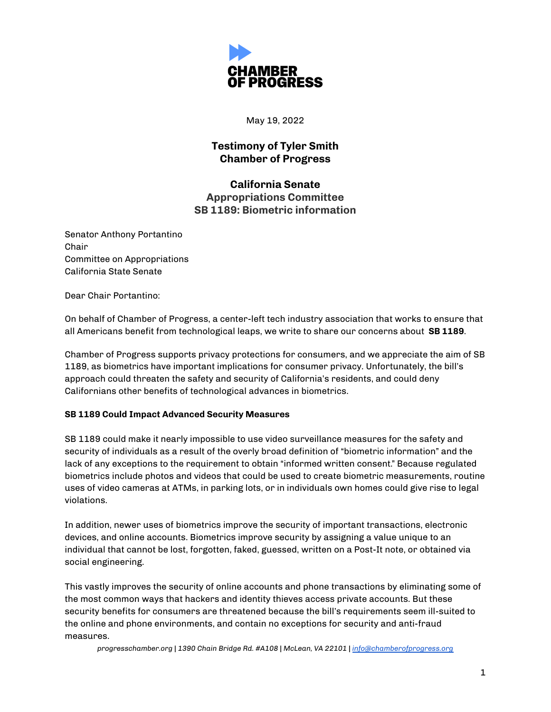

May 19, 2022

## **Testimony of Tyler Smith Chamber of Progress**

**California Senate Appropriations Committee SB 1189: Biometric information**

Senator Anthony Portantino Chair Committee on Appropriations California State Senate

Dear Chair Portantino:

On behalf of Chamber of Progress, a center-left tech industry association that works to ensure that all Americans benefit from technological leaps, we write to share our concerns about **SB 1189**.

Chamber of Progress supports privacy protections for consumers, and we appreciate the aim of SB 1189, as biometrics have important implications for consumer privacy. Unfortunately, the bill's approach could threaten the safety and security of California's residents, and could deny Californians other benefits of technological advances in biometrics.

## **SB 1189 Could Impact Advanced Security Measures**

SB 1189 could make it nearly impossible to use video surveillance measures for the safety and security of individuals as a result of the overly broad definition of "biometric information" and the lack of any exceptions to the requirement to obtain "informed written consent." Because regulated biometrics include photos and videos that could be used to create biometric measurements, routine uses of video cameras at ATMs, in parking lots, or in individuals own homes could give rise to legal violations.

In addition, newer uses of biometrics improve the security of important transactions, electronic devices, and online accounts. Biometrics improve security by assigning a value unique to an individual that cannot be lost, forgotten, faked, guessed, written on a Post-It note, or obtained via social engineering.

This vastly improves the security of online accounts and phone transactions by eliminating some of the most common ways that hackers and identity thieves access private accounts. But these security benefits for consumers are threatened because the bill's requirements seem ill-suited to the online and phone environments, and contain no exceptions for security and anti-fraud measures.

*progresschamber.org | 1390 Chain Bridge Rd. #A108 | McLean, VA 22101 | [info@chamberofprogress.org](mailto:info@chamberofprogress.org)*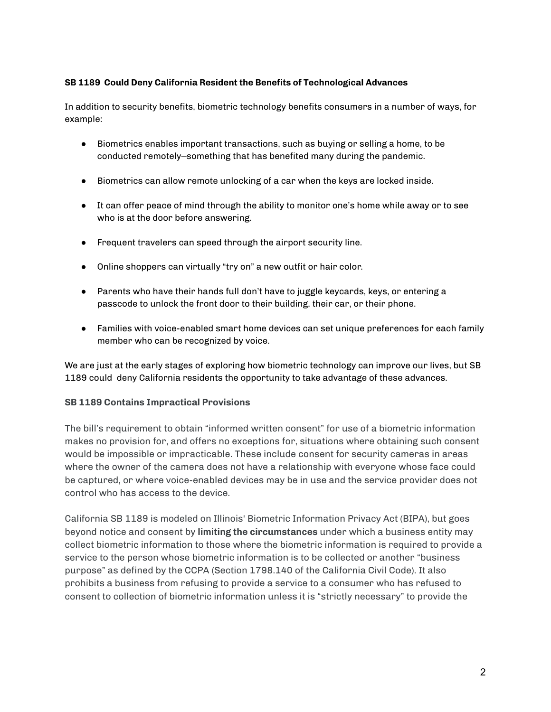## **SB 1189 Could Deny California Resident the Benefits of Technological Advances**

In addition to security benefits, biometric technology benefits consumers in a number of ways, for example:

- Biometrics enables important transactions, such as buying or selling a home, to be conducted remotely⏤something that has benefited many during the pandemic.
- Biometrics can allow remote unlocking of a car when the keys are locked inside.
- It can offer peace of mind through the ability to monitor one's home while away or to see who is at the door before answering.
- Frequent travelers can speed through the airport security line.
- Online shoppers can virtually "try on" a new outfit or hair color.
- Parents who have their hands full don't have to juggle keycards, keys, or entering a passcode to unlock the front door to their building, their car, or their phone.
- Families with voice-enabled smart home devices can set unique preferences for each family member who can be recognized by voice.

We are just at the early stages of exploring how biometric technology can improve our lives, but SB 1189 could deny California residents the opportunity to take advantage of these advances.

## **SB 1189 Contains Impractical Provisions**

The bill's requirement to obtain "informed written consent" for use of a biometric information makes no provision for, and offers no exceptions for, situations where obtaining such consent would be impossible or impracticable. These include consent for security cameras in areas where the owner of the camera does not have a relationship with everyone whose face could be captured, or where voice-enabled devices may be in use and the service provider does not control who has access to the device.

California SB 1189 is modeled on Illinois' Biometric Information Privacy Act (BIPA), but goes beyond notice and consent by **limiting the circumstances** under which a business entity may collect biometric information to those where the biometric information is required to provide a service to the person whose biometric information is to be collected or another "business purpose" as defined by the CCPA (Section 1798.140 of the California Civil Code). It also prohibits a business from refusing to provide a service to a consumer who has refused to consent to collection of biometric information unless it is "strictly necessary" to provide the